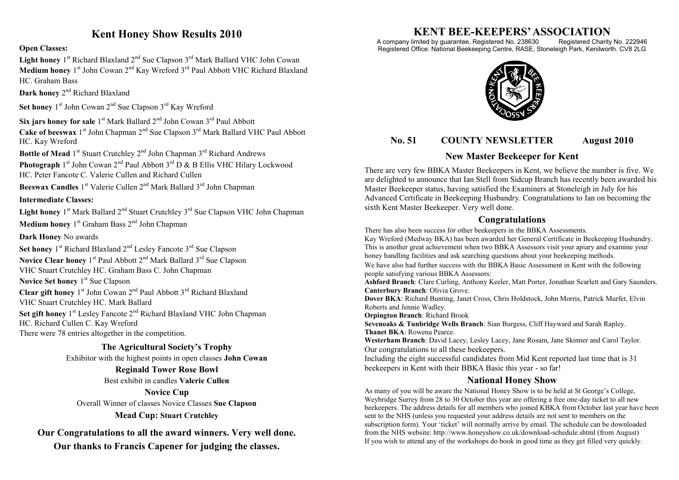# **Kent Honey Show Results 2010**

**Open Classes:**

Light honey 1<sup>st</sup> Richard Blaxland 2<sup>nd</sup> Sue Clapson 3<sup>rd</sup> Mark Ballard VHC John Cowan Medium honey 1<sup>st</sup> John Cowan 2<sup>nd</sup> Kay Wreford 3<sup>rd</sup> Paul Abbott VHC Richard Blaxland HC. Graham Bass

Dark honey 2<sup>nd</sup> Richard Blaxland

Set honey 1<sup>st</sup> John Cowan 2<sup>nd</sup> Sue Clapson 3<sup>rd</sup> Kay Wreford

Six jars honey for sale 1<sup>st</sup> Mark Ballard 2<sup>nd</sup> John Cowan 3<sup>rd</sup> Paul Abbott Cake of beeswax 1<sup>st</sup> John Chapman 2<sup>nd</sup> Sue Clapson 3<sup>rd</sup> Mark Ballard VHC Paul Abbott HC. Kay Wreford

Bottle of Mead 1<sup>st</sup> Stuart Crutchley 2<sup>nd</sup> John Chapman 3<sup>rd</sup> Richard Andrews **Photograph** 1<sup>st</sup> John Cowan 2<sup>nd</sup> Paul Abbott 3<sup>rd</sup> D & B Ellis VHC Hilary Lockwood HC. Peter Fancote C. Valerie Cullen and Richard Cullen

Beeswax Candles 1<sup>st</sup> Valerie Cullen 2<sup>nd</sup> Mark Ballard 3<sup>rd</sup> John Chapman

#### **Intermediate Classes:**

Light honey 1<sup>st</sup> Mark Ballard 2<sup>nd</sup> Stuart Crutchley 3<sup>rd</sup> Sue Clapson VHC John Chapman

Medium honey 1<sup>st</sup> Graham Bass 2<sup>nd</sup> John Chapman

**Dark Honey** No awards

Set honey 1<sup>st</sup> Richard Blaxland 2<sup>nd</sup> Lesley Fancote 3<sup>rd</sup> Sue Clapson Novice Clear honey 1<sup>st</sup> Paul Abbott 2<sup>nd</sup> Mark Ballard 3<sup>rd</sup> Sue Clapson VHC Stuart Crutchley HC. Graham Bass C. John Chapman

**Novice Set honey** 1<sup>st</sup> Sue Clapson Clear gift honey 1<sup>st</sup> John Cowan 2<sup>nd</sup> Paul Abbott 3<sup>rd</sup> Richard Blaxland VHC Stuart Crutchley HC. Mark Ballard Set gift honey 1<sup>st</sup> Lesley Fancote 2<sup>nd</sup> Richard Blaxland VHC John Chapman HC. Richard Cullen C. Kay Wreford There were 78 entries altogether in the competition.

**The Agricultural Society's Trophy**

Exhibitor with the highest points in open classes **John Cowan**

**Reginald Tower Rose Bowl**

Best exhibit in candles **Valerie Cullen**

**Novice Cup**

Overall Winner of classes Novice Classes **Sue Clapson Mead Cup: Stuart Crutchley**

**Our Congratulations to all the award winners. Very well done. Our thanks to Francis Capener for judging the classes.**

# **KENT BEE-KEEPERS' ASSOCIATION**<br>imited by guarantee, Registered No. 238630 Registered Charity No. 222946

A company limited by guarantee, Registered No. 238630 Registered Office: National Beekeeping Centre, RASE, Stoneleigh Park, Kenilworth. CV8 2LG



## **No. 51 COUNTY NEWSLETTER August 2010**

## **New Master Beekeeper for Kent**

There are very few BBKA Master Beekeepers in Kent, we believe the number is five. We are delighted to announce that Ian Stell from Sidcup Branch has recently been awarded his Master Beekeeper status, having satisfied the Examiners at Stoneleigh in July for his Advanced Certificate in Beekeeping Husbandry. Congratulations to Ian on becoming the sixth Kent Master Beekeeper. Very well done.

## **Congratulations**

There has also been success for other beekeepers in the BBKA Assessments.

Kay Wreford (Medway BKA) has been awarded her General Certificate in Beekeeping Husbandry. This is another great achievement when two BBKA Assessors visit your apiary and examine your honey handling facilities and ask searching questions about your beekeeping methods.

We have also had further success with the BBKA Basic Assessment in Kent with the following people satisfying various BBKA Assessors:

**Ashford Branch**: Clare Curling, Anthony Keeler, Matt Porter, Jonathan Scarlett and Gary Saunders. **Canterbury Branch**: Olivia Grove.

**Dover BKA**: Richard Bunting, Janet Cross, Chris Holdstock, John Morris, Patrick Murfet, Elvin Roberts and Jennie Wadley.

**Orpington Branch**: Richard Brook

**Sevenoaks & Tunbridge Wells Branch**: Sian Burgess, Cliff Hayward and Sarah Rapley. **Thanet BKA**: Rowena Pearce.

**Westerham Branch**: David Lacey, Lesley Lacey, Jane Rosam, Jane Skinner and Carol Taylor. Our congratulations to all these beekeepers.

Including the eight successful candidates from Mid Kent reported last time that is 31 beekeepers in Kent with their BBKA Basic this year - so far!

## **National Honey Show**

As many of you will be aware the National Honey Show is to be held at St George's College, Weybridge Surrey from 28 to 30 October this year are offering a free one-day ticket to all new beekeepers. The address details for all members who joined KBKA from October last year have been sent to the NHS (unless you requested your address details are not sent to members on the subscription form). Your 'ticket' will normally arrive by email. The schedule can be downloaded from the NHS website: http://www.honeyshow.co.uk/download-schedule.shtml (from August) If you wish to attend any of the workshops do book in good time as they get filled very quickly.